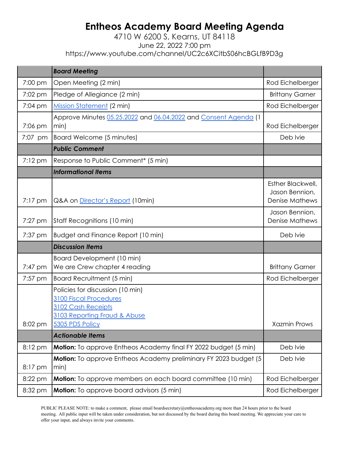## **Entheos Academy Board Meeting Agenda**

## 4710 W 6200 S, Kearns, UT 84118 June 22, 2022 7:00 pm https://www.youtube.com/channel/UC2c6XCitbS06hcBGLfB9D3g

|                   | <b>Board Meeting</b>                                                                                                                              |                                                              |
|-------------------|---------------------------------------------------------------------------------------------------------------------------------------------------|--------------------------------------------------------------|
| 7:00 pm           | Open Meeting (2 min)                                                                                                                              | Rod Eichelberger                                             |
| 7:02 pm           | Pledge of Allegiance (2 min)                                                                                                                      | <b>Brittany Garner</b>                                       |
| 7:04 pm           | Mission Statement (2 min)                                                                                                                         | Rod Eichelberger                                             |
| 7:06 pm           | Approve Minutes 05.25.2022 and 06.04.2022 and Consent Agenda (1<br>$ min\rangle$                                                                  | Rod Eichelberger                                             |
| 7:07 pm           | Board Welcome (5 minutes)                                                                                                                         | Deb Ivie                                                     |
|                   | <b>Public Comment</b>                                                                                                                             |                                                              |
| 7:12 pm           | Response to Public Comment* (5 min)                                                                                                               |                                                              |
|                   | <b>Informational Items</b>                                                                                                                        |                                                              |
| $7:17 \text{ pm}$ | Q&A on <i>Director's Report</i> (10min)                                                                                                           | Esther Blackwell,<br>Jason Bennion,<br><b>Denise Mathews</b> |
| $7:27$ pm         | Staff Recognitions (10 min)                                                                                                                       | Jason Bennion,<br><b>Denise Mathews</b>                      |
| 7:37 pm           | <b>Budget and Finance Report (10 min)</b>                                                                                                         | Deb Ivie                                                     |
|                   |                                                                                                                                                   |                                                              |
|                   | <b>Discussion Items</b>                                                                                                                           |                                                              |
| 7:47 pm           | Board Development (10 min)<br>We are Crew chapter 4 reading                                                                                       | <b>Brittany Garner</b>                                       |
| 7:57 pm           | <b>Board Recruitment (5 min)</b>                                                                                                                  | Rod Eichelberger                                             |
| 8:02 pm           | Policies for discussion (10 min)<br><b>3100 Fiscal Procedures</b><br><b>3102 Cash Receipts</b><br>3103 Reporting Fraud & Abuse<br>5305 PDS Policy | <b>Xazmin Prows</b>                                          |
|                   | <b>Actionable Items</b>                                                                                                                           |                                                              |
| 8:12 pm           | <b>Motion:</b> To approve Entheos Academy final FY 2022 budget (5 min)                                                                            | Deb Ivie                                                     |
| 8:17 pm           | Motion: To approve Entheos Academy preliminary FY 2023 budget (5<br>min)                                                                          | Deb Ivie                                                     |
| 8:22 pm           | <b>Motion:</b> To approve members on each board committee (10 min)                                                                                | Rod Eichelberger                                             |